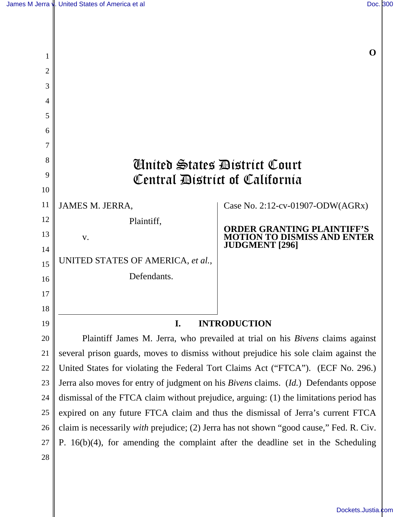| 1              |                                                                                                                                                                                                | O                                                                                              |
|----------------|------------------------------------------------------------------------------------------------------------------------------------------------------------------------------------------------|------------------------------------------------------------------------------------------------|
| $\overline{2}$ |                                                                                                                                                                                                |                                                                                                |
| 3              |                                                                                                                                                                                                |                                                                                                |
| 4              |                                                                                                                                                                                                |                                                                                                |
| 5              |                                                                                                                                                                                                |                                                                                                |
| 6              |                                                                                                                                                                                                |                                                                                                |
| 7              |                                                                                                                                                                                                |                                                                                                |
| 8              | <b><i>Counted States District Court</i></b>                                                                                                                                                    |                                                                                                |
| 9              | Central Bistrict of California                                                                                                                                                                 |                                                                                                |
| 10             |                                                                                                                                                                                                |                                                                                                |
| 11             | <b>JAMES M. JERRA,</b>                                                                                                                                                                         | Case No. 2:12-cv-01907-ODW(AGRx)                                                               |
| 12             | Plaintiff,                                                                                                                                                                                     |                                                                                                |
| 13             | V.                                                                                                                                                                                             | <b>ORDER GRANTING PLAINTIFF'S</b><br><b>MOTION TO DISMISS AND ENT</b><br><b>JUDGMENT</b> [296] |
| 14             | UNITED STATES OF AMERICA, et al.,                                                                                                                                                              |                                                                                                |
| 15             | Defendants.                                                                                                                                                                                    |                                                                                                |
| 16             |                                                                                                                                                                                                |                                                                                                |
| 17             |                                                                                                                                                                                                |                                                                                                |
| 18             |                                                                                                                                                                                                |                                                                                                |
| 19             | <b>INTRODUCTION</b><br>I.                                                                                                                                                                      |                                                                                                |
| 20<br>21       | Plaintiff James M. Jerra, who prevailed at trial on his Bivens claims against                                                                                                                  |                                                                                                |
| 22             | several prison guards, moves to dismiss without prejudice his sole claim against the                                                                                                           |                                                                                                |
| 23             | United States for violating the Federal Tort Claims Act ("FTCA"). (ECF No. 296.)                                                                                                               |                                                                                                |
| 24             | Jerra also moves for entry of judgment on his <i>Bivens</i> claims. ( <i>Id.</i> ) Defendants oppose<br>dismissal of the FTCA claim without prejudice, arguing: (1) the limitations period has |                                                                                                |
| 25             | expired on any future FTCA claim and thus the dismissal of Jerra's current FTCA                                                                                                                |                                                                                                |
| 26             | claim is necessarily <i>with</i> prejudice; (2) Jerra has not shown "good cause," Fed. R. Civ.                                                                                                 |                                                                                                |
| 27             | P. $16(b)(4)$ , for amending the complaint after the deadline set in the Scheduling                                                                                                            |                                                                                                |
| 28             |                                                                                                                                                                                                |                                                                                                |
|                |                                                                                                                                                                                                |                                                                                                |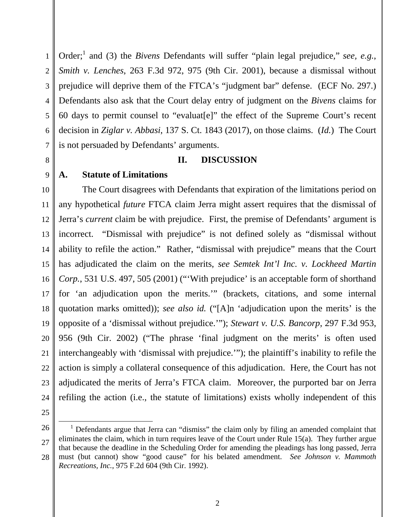1 2 3 4 5 6 7 Order;<sup>1</sup> and (3) the *Bivens* Defendants will suffer "plain legal prejudice," see, e.g., *Smith v. Lenches*, 263 F.3d 972, 975 (9th Cir. 2001), because a dismissal without prejudice will deprive them of the FTCA's "judgment bar" defense. (ECF No. 297.) Defendants also ask that the Court delay entry of judgment on the *Bivens* claims for 60 days to permit counsel to "evaluat[e]" the effect of the Supreme Court's recent decision in *Ziglar v. Abbasi*, 137 S. Ct. 1843 (2017), on those claims. (*Id.*) The Court is not persuaded by Defendants' arguments.

## **II. DISCUSSION**

## **A. Statute of Limitations**

10 11 12 13 14 15 16 17 18 19 20 21 22 23 24 The Court disagrees with Defendants that expiration of the limitations period on any hypothetical *future* FTCA claim Jerra might assert requires that the dismissal of Jerra's *current* claim be with prejudice. First, the premise of Defendants' argument is incorrect. "Dismissal with prejudice" is not defined solely as "dismissal without ability to refile the action." Rather, "dismissal with prejudice" means that the Court has adjudicated the claim on the merits, *see Semtek Int'l Inc. v. Lockheed Martin Corp.*, 531 U.S. 497, 505 (2001) ("'With prejudice' is an acceptable form of shorthand for 'an adjudication upon the merits.'" (brackets, citations, and some internal quotation marks omitted)); *see also id.* ("[A]n 'adjudication upon the merits' is the opposite of a 'dismissal without prejudice.'"); *Stewart v. U.S. Bancorp*, 297 F.3d 953, 956 (9th Cir. 2002) ("The phrase 'final judgment on the merits' is often used interchangeably with 'dismissal with prejudice.'"); the plaintiff's inability to refile the action is simply a collateral consequence of this adjudication. Here, the Court has not adjudicated the merits of Jerra's FTCA claim. Moreover, the purported bar on Jerra refiling the action (i.e., the statute of limitations) exists wholly independent of this

25

8

9

<sup>26</sup> 27 28 <u>.</u> <sup>1</sup> Defendants argue that Jerra can "dismiss" the claim only by filing an amended complaint that eliminates the claim, which in turn requires leave of the Court under Rule 15(a). They further argue that because the deadline in the Scheduling Order for amending the pleadings has long passed, Jerra must (but cannot) show "good cause" for his belated amendment. *See Johnson v. Mammoth Recreations, Inc.*, 975 F.2d 604 (9th Cir. 1992).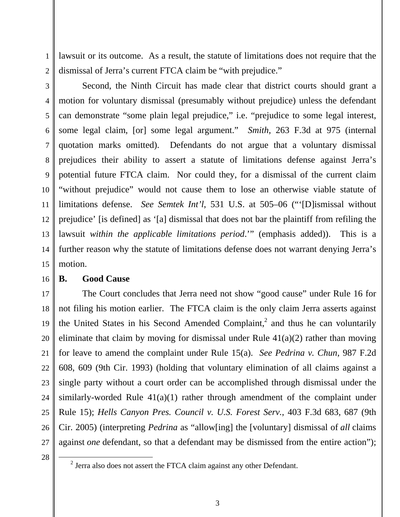1 lawsuit or its outcome. As a result, the statute of limitations does not require that the dismissal of Jerra's current FTCA claim be "with prejudice."

2

4

8

11

3 5 6 7 9 10 12 13 14 15 Second, the Ninth Circuit has made clear that district courts should grant a motion for voluntary dismissal (presumably without prejudice) unless the defendant can demonstrate "some plain legal prejudice," i.e. "prejudice to some legal interest, some legal claim, [or] some legal argument." *Smith*, 263 F.3d at 975 (internal quotation marks omitted). Defendants do not argue that a voluntary dismissal prejudices their ability to assert a statute of limitations defense against Jerra's potential future FTCA claim. Nor could they, for a dismissal of the current claim "without prejudice" would not cause them to lose an otherwise viable statute of limitations defense. *See Semtek Int'l*, 531 U.S. at 505–06 ("'[D]ismissal without prejudice' [is defined] as '[a] dismissal that does not bar the plaintiff from refiling the lawsuit *within the applicable limitations period*.'" (emphasis added)). This is a further reason why the statute of limitations defense does not warrant denying Jerra's motion.

16

## **B. Good Cause**

17 18 19 20 21 22 23 24 25 26 27 The Court concludes that Jerra need not show "good cause" under Rule 16 for not filing his motion earlier. The FTCA claim is the only claim Jerra asserts against the United States in his Second Amended Complaint,<sup>2</sup> and thus he can voluntarily eliminate that claim by moving for dismissal under Rule  $41(a)(2)$  rather than moving for leave to amend the complaint under Rule 15(a). *See Pedrina v. Chun*, 987 F.2d 608, 609 (9th Cir. 1993) (holding that voluntary elimination of all claims against a single party without a court order can be accomplished through dismissal under the similarly-worded Rule  $41(a)(1)$  rather through amendment of the complaint under Rule 15); *Hells Canyon Pres. Council v. U.S. Forest Serv.*, 403 F.3d 683, 687 (9th Cir. 2005) (interpreting *Pedrina* as "allow[ing] the [voluntary] dismissal of *all* claims against *one* defendant, so that a defendant may be dismissed from the entire action");

28

<u>.</u>

 $2$  Jerra also does not assert the FTCA claim against any other Defendant.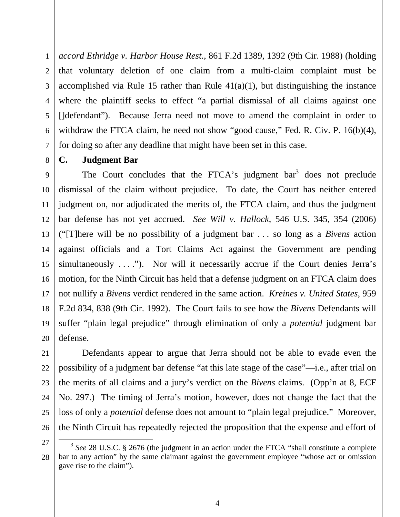1 2 3 4 5 6 7 *accord Ethridge v. Harbor House Rest.*, 861 F.2d 1389, 1392 (9th Cir. 1988) (holding that voluntary deletion of one claim from a multi-claim complaint must be accomplished via Rule 15 rather than Rule  $41(a)(1)$ , but distinguishing the instance where the plaintiff seeks to effect "a partial dismissal of all claims against one []defendant"). Because Jerra need not move to amend the complaint in order to withdraw the FTCA claim, he need not show "good cause," Fed. R. Civ. P. 16(b)(4), for doing so after any deadline that might have been set in this case.

**C. Judgment Bar** 

8

9 10 11 12 13 14 15 16 17 18 19 20 The Court concludes that the FTCA's judgment  $bar<sup>3</sup>$  does not preclude dismissal of the claim without prejudice. To date, the Court has neither entered judgment on, nor adjudicated the merits of, the FTCA claim, and thus the judgment bar defense has not yet accrued. *See Will v. Hallock*, 546 U.S. 345, 354 (2006) ("[T]here will be no possibility of a judgment bar . . . so long as a *Bivens* action against officials and a Tort Claims Act against the Government are pending simultaneously  $\dots$ "). Nor will it necessarily accrue if the Court denies Jerra's motion, for the Ninth Circuit has held that a defense judgment on an FTCA claim does not nullify a *Bivens* verdict rendered in the same action. *Kreines v. United States*, 959 F.2d 834, 838 (9th Cir. 1992). The Court fails to see how the *Bivens* Defendants will suffer "plain legal prejudice" through elimination of only a *potential* judgment bar defense.

21 22 23 24 25 26 Defendants appear to argue that Jerra should not be able to evade even the possibility of a judgment bar defense "at this late stage of the case"—i.e., after trial on the merits of all claims and a jury's verdict on the *Bivens* claims. (Opp'n at 8, ECF No. 297.) The timing of Jerra's motion, however, does not change the fact that the loss of only a *potential* defense does not amount to "plain legal prejudice." Moreover, the Ninth Circuit has repeatedly rejected the proposition that the expense and effort of

 $\overline{a}$ 

<sup>27</sup>

<sup>28</sup> <sup>3</sup> See 28 U.S.C. § 2676 (the judgment in an action under the FTCA "shall constitute a complete bar to any action" by the same claimant against the government employee "whose act or omission gave rise to the claim").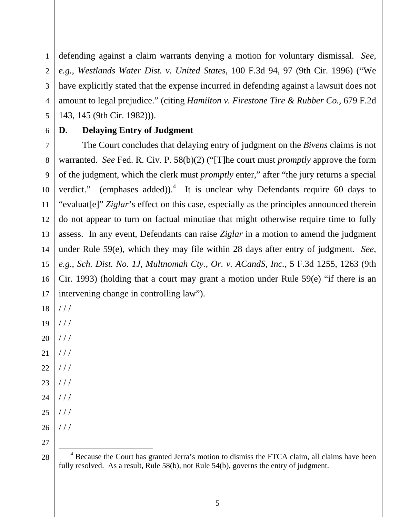1 2 3 4 5 defending against a claim warrants denying a motion for voluntary dismissal. *See, e.g.*, *Westlands Water Dist. v. United States*, 100 F.3d 94, 97 (9th Cir. 1996) ("We have explicitly stated that the expense incurred in defending against a lawsuit does not amount to legal prejudice." (citing *Hamilton v. Firestone Tire & Rubber Co.*, 679 F.2d 143, 145 (9th Cir. 1982))).

6

## **D. Delaying Entry of Judgment**

7 8 9 10 11 12 13 14 15 16 17 The Court concludes that delaying entry of judgment on the *Bivens* claims is not warranted. *See* Fed. R. Civ. P. 58(b)(2) ("[T]he court must *promptly* approve the form of the judgment, which the clerk must *promptly* enter," after "the jury returns a special verdict." (emphases added)).<sup>4</sup> It is unclear why Defendants require 60 days to "evaluat[e]" *Ziglar*'s effect on this case, especially as the principles announced therein do not appear to turn on factual minutiae that might otherwise require time to fully assess. In any event, Defendants can raise *Ziglar* in a motion to amend the judgment under Rule 59(e), which they may file within 28 days after entry of judgment. *See, e.g.*, *Sch. Dist. No. 1J, Multnomah Cty., Or. v. ACandS, Inc.*, 5 F.3d 1255, 1263 (9th Cir. 1993) (holding that a court may grant a motion under Rule 59(e) "if there is an intervening change in controlling law").

- 18 / / /
- 19 / / /
- 20  $//$
- 21  $//$
- 22  $//$
- 23 / / /
- 24  $//$
- 25  $//$ / / /
- 26
- 27 28

<sup>&</sup>lt;u>.</u> <sup>4</sup> Because the Court has granted Jerra's motion to dismiss the FTCA claim, all claims have been fully resolved. As a result, Rule 58(b), not Rule 54(b), governs the entry of judgment.